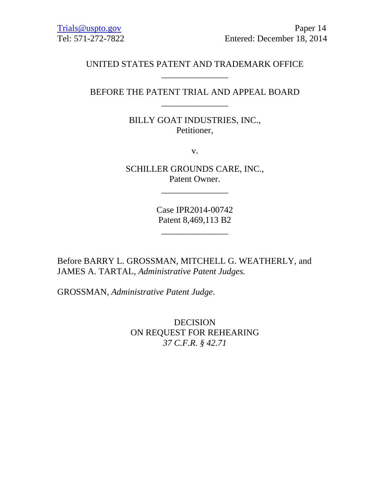# UNITED STATES PATENT AND TRADEMARK OFFICE \_\_\_\_\_\_\_\_\_\_\_\_\_\_\_

# BEFORE THE PATENT TRIAL AND APPEAL BOARD \_\_\_\_\_\_\_\_\_\_\_\_\_\_\_

BILLY GOAT INDUSTRIES, INC., Petitioner,

v.

SCHILLER GROUNDS CARE, INC., Patent Owner.

\_\_\_\_\_\_\_\_\_\_\_\_\_\_\_

Case IPR2014-00742 Patent 8,469,113 B2

\_\_\_\_\_\_\_\_\_\_\_\_\_\_\_

Before BARRY L. GROSSMAN, MITCHELL G. WEATHERLY, and JAMES A. TARTAL, *Administrative Patent Judges.* 

GROSSMAN, *Administrative Patent Judge*.

DECISION ON REQUEST FOR REHEARING *37 C.F.R. § 42.71*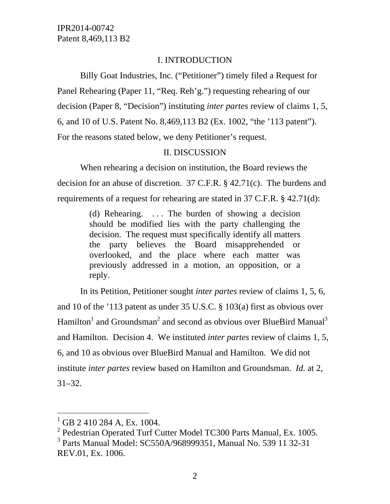### I. INTRODUCTION

Billy Goat Industries, Inc. ("Petitioner") timely filed a Request for Panel Rehearing (Paper 11, "Req. Reh'g.") requesting rehearing of our decision (Paper 8, "Decision") instituting *inter partes* review of claims 1, 5, 6, and 10 of U.S. Patent No. 8,469,113 B2 (Ex. 1002, "the '113 patent"). For the reasons stated below, we deny Petitioner's request.

### II. DISCUSSION

When rehearing a decision on institution, the Board reviews the decision for an abuse of discretion. 37 C.F.R. § 42.71(c). The burdens and requirements of a request for rehearing are stated in 37 C.F.R. § 42.71(d):

> (d) Rehearing.  $\ldots$  The burden of showing a decision should be modified lies with the party challenging the decision. The request must specifically identify all matters the party believes the Board misapprehended or overlooked, and the place where each matter was previously addressed in a motion, an opposition, or a reply.

In its Petition, Petitioner sought *inter partes* review of claims 1, 5, 6, and 10 of the '113 patent as under 35 U.S.C. § 103(a) first as obvious over Hamilton<sup>1</sup> and Groundsman<sup>2</sup> and second as obvious over BlueBird Manual<sup>3</sup> and Hamilton. Decision 4. We instituted *inter partes* review of claims 1, 5, 6, and 10 as obvious over BlueBird Manual and Hamilton. We did not institute *inter partes* review based on Hamilton and Groundsman. *Id.* at 2, 31–32.

 $\overline{a}$ 

 $^{1}$  GB 2 410 284 A, Ex. 1004.

 $2$  Pedestrian Operated Turf Cutter Model TC300 Parts Manual, Ex. 1005.

<sup>3</sup> Parts Manual Model: SC550A/968999351, Manual No. 539 11 32-31 REV.01, Ex. 1006.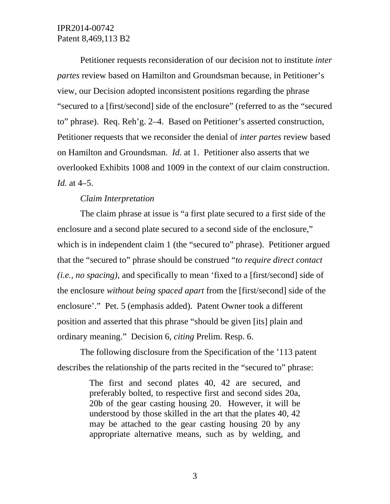Petitioner requests reconsideration of our decision not to institute *inter partes* review based on Hamilton and Groundsman because, in Petitioner's view, our Decision adopted inconsistent positions regarding the phrase "secured to a [first/second] side of the enclosure" (referred to as the "secured to" phrase). Req. Reh'g. 2–4. Based on Petitioner's asserted construction, Petitioner requests that we reconsider the denial of *inter partes* review based on Hamilton and Groundsman. *Id.* at 1. Petitioner also asserts that we overlooked Exhibits 1008 and 1009 in the context of our claim construction. *Id.* at 4–5.

### *Claim Interpretation*

The claim phrase at issue is "a first plate secured to a first side of the enclosure and a second plate secured to a second side of the enclosure," which is in independent claim 1 (the "secured to" phrase). Petitioner argued that the "secured to" phrase should be construed "*to require direct contact (i.e., no spacing)*, and specifically to mean 'fixed to a [first/second] side of the enclosure *without being spaced apart* from the [first/second] side of the enclosure'." Pet. 5 (emphasis added). Patent Owner took a different position and asserted that this phrase "should be given [its] plain and ordinary meaning." Decision 6, *citing* Prelim. Resp. 6.

The following disclosure from the Specification of the '113 patent describes the relationship of the parts recited in the "secured to" phrase:

> The first and second plates 40, 42 are secured, and preferably bolted, to respective first and second sides 20a, 20b of the gear casting housing 20. However, it will be understood by those skilled in the art that the plates 40, 42 may be attached to the gear casting housing 20 by any appropriate alternative means, such as by welding, and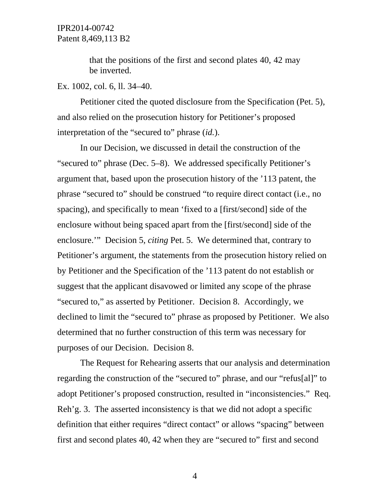that the positions of the first and second plates 40, 42 may be inverted.

#### Ex. 1002, col. 6, ll. 34–40.

Petitioner cited the quoted disclosure from the Specification (Pet. 5), and also relied on the prosecution history for Petitioner's proposed interpretation of the "secured to" phrase (*id.*).

In our Decision, we discussed in detail the construction of the "secured to" phrase (Dec. 5–8). We addressed specifically Petitioner's argument that, based upon the prosecution history of the '113 patent, the phrase "secured to" should be construed "to require direct contact (i.e., no spacing), and specifically to mean 'fixed to a [first/second] side of the enclosure without being spaced apart from the [first/second] side of the enclosure.'" Decision 5, *citing* Pet. 5. We determined that, contrary to Petitioner's argument, the statements from the prosecution history relied on by Petitioner and the Specification of the '113 patent do not establish or suggest that the applicant disavowed or limited any scope of the phrase "secured to," as asserted by Petitioner. Decision 8. Accordingly, we declined to limit the "secured to" phrase as proposed by Petitioner. We also determined that no further construction of this term was necessary for purposes of our Decision. Decision 8.

The Request for Rehearing asserts that our analysis and determination regarding the construction of the "secured to" phrase, and our "refus[al]" to adopt Petitioner's proposed construction, resulted in "inconsistencies." Req. Reh'g. 3. The asserted inconsistency is that we did not adopt a specific definition that either requires "direct contact" or allows "spacing" between first and second plates 40, 42 when they are "secured to" first and second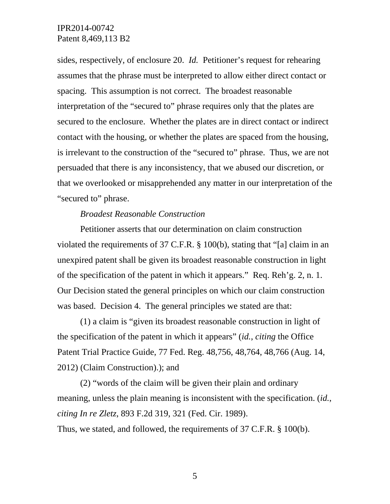sides, respectively, of enclosure 20. *Id.* Petitioner's request for rehearing assumes that the phrase must be interpreted to allow either direct contact or spacing. This assumption is not correct. The broadest reasonable interpretation of the "secured to" phrase requires only that the plates are secured to the enclosure. Whether the plates are in direct contact or indirect contact with the housing, or whether the plates are spaced from the housing, is irrelevant to the construction of the "secured to" phrase. Thus, we are not persuaded that there is any inconsistency, that we abused our discretion, or that we overlooked or misapprehended any matter in our interpretation of the "secured to" phrase.

#### *Broadest Reasonable Construction*

Petitioner asserts that our determination on claim construction violated the requirements of 37 C.F.R. § 100(b), stating that "[a] claim in an unexpired patent shall be given its broadest reasonable construction in light of the specification of the patent in which it appears." Req. Reh'g. 2, n. 1. Our Decision stated the general principles on which our claim construction was based. Decision 4. The general principles we stated are that:

(1) a claim is "given its broadest reasonable construction in light of the specification of the patent in which it appears" (*id.*, *citing* the Office Patent Trial Practice Guide, 77 Fed. Reg. 48,756, 48,764, 48,766 (Aug. 14, 2012) (Claim Construction).); and

(2) "words of the claim will be given their plain and ordinary meaning, unless the plain meaning is inconsistent with the specification. (*id.*, *citing In re Zletz*, 893 F.2d 319, 321 (Fed. Cir. 1989). Thus, we stated, and followed, the requirements of 37 C.F.R. § 100(b).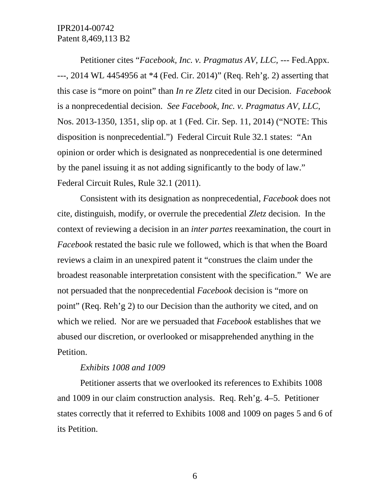Petitioner cites "*Facebook, Inc. v. Pragmatus AV, LLC,* --- Fed.Appx. ---, 2014 WL 4454956 at \*4 (Fed. Cir. 2014)" (Req. Reh'g. 2) asserting that this case is "more on point" than *In re Zletz* cited in our Decision. *Facebook*  is a nonprecedential decision. *See Facebook, Inc. v. Pragmatus AV, LLC*, Nos. 2013-1350, 1351, slip op. at 1 (Fed. Cir. Sep. 11, 2014) ("NOTE: This disposition is nonprecedential.") Federal Circuit Rule 32.1 states: "An opinion or order which is designated as nonprecedential is one determined by the panel issuing it as not adding significantly to the body of law." Federal Circuit Rules, Rule 32.1 (2011).

Consistent with its designation as nonprecedential, *Facebook* does not cite, distinguish, modify, or overrule the precedential *Zletz* decision. In the context of reviewing a decision in an *inter partes* reexamination, the court in *Facebook* restated the basic rule we followed, which is that when the Board reviews a claim in an unexpired patent it "construes the claim under the broadest reasonable interpretation consistent with the specification." We are not persuaded that the nonprecedential *Facebook* decision is "more on point" (Req. Reh'g 2) to our Decision than the authority we cited, and on which we relied. Nor are we persuaded that *Facebook* establishes that we abused our discretion, or overlooked or misapprehended anything in the Petition.

#### *Exhibits 1008 and 1009*

Petitioner asserts that we overlooked its references to Exhibits 1008 and 1009 in our claim construction analysis. Req. Reh'g. 4–5. Petitioner states correctly that it referred to Exhibits 1008 and 1009 on pages 5 and 6 of its Petition.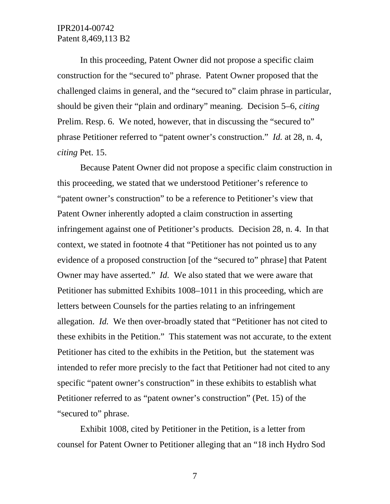In this proceeding, Patent Owner did not propose a specific claim construction for the "secured to" phrase. Patent Owner proposed that the challenged claims in general, and the "secured to" claim phrase in particular, should be given their "plain and ordinary" meaning. Decision 5–6, *citing*  Prelim. Resp. 6. We noted, however, that in discussing the "secured to" phrase Petitioner referred to "patent owner's construction." *Id.* at 28, n. 4, *citing* Pet. 15.

Because Patent Owner did not propose a specific claim construction in this proceeding, we stated that we understood Petitioner's reference to "patent owner's construction" to be a reference to Petitioner's view that Patent Owner inherently adopted a claim construction in asserting infringement against one of Petitioner's products*.* Decision 28, n. 4. In that context, we stated in footnote 4 that "Petitioner has not pointed us to any evidence of a proposed construction [of the "secured to" phrase] that Patent Owner may have asserted." *Id.* We also stated that we were aware that Petitioner has submitted Exhibits 1008–1011 in this proceeding, which are letters between Counsels for the parties relating to an infringement allegation. *Id.* We then over-broadly stated that "Petitioner has not cited to these exhibits in the Petition." This statement was not accurate, to the extent Petitioner has cited to the exhibits in the Petition, but the statement was intended to refer more precisly to the fact that Petitioner had not cited to any specific "patent owner's construction" in these exhibits to establish what Petitioner referred to as "patent owner's construction" (Pet. 15) of the "secured to" phrase.

Exhibit 1008, cited by Petitioner in the Petition, is a letter from counsel for Patent Owner to Petitioner alleging that an "18 inch Hydro Sod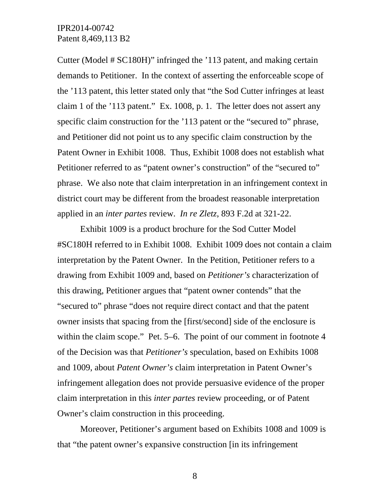Cutter (Model # SC180H)" infringed the '113 patent, and making certain demands to Petitioner. In the context of asserting the enforceable scope of the '113 patent, this letter stated only that "the Sod Cutter infringes at least claim 1 of the '113 patent." Ex. 1008, p. 1. The letter does not assert any specific claim construction for the '113 patent or the "secured to" phrase, and Petitioner did not point us to any specific claim construction by the Patent Owner in Exhibit 1008. Thus, Exhibit 1008 does not establish what Petitioner referred to as "patent owner's construction" of the "secured to" phrase. We also note that claim interpretation in an infringement context in district court may be different from the broadest reasonable interpretation applied in an *inter partes* review. *In re Zletz*, 893 F.2d at 321-22.

Exhibit 1009 is a product brochure for the Sod Cutter Model #SC180H referred to in Exhibit 1008. Exhibit 1009 does not contain a claim interpretation by the Patent Owner. In the Petition, Petitioner refers to a drawing from Exhibit 1009 and, based on *Petitioner's* characterization of this drawing, Petitioner argues that "patent owner contends" that the "secured to" phrase "does not require direct contact and that the patent owner insists that spacing from the [first/second] side of the enclosure is within the claim scope." Pet. 5–6. The point of our comment in footnote 4 of the Decision was that *Petitioner's* speculation, based on Exhibits 1008 and 1009, about *Patent Owner's* claim interpretation in Patent Owner's infringement allegation does not provide persuasive evidence of the proper claim interpretation in this *inter partes* review proceeding, or of Patent Owner's claim construction in this proceeding.

Moreover, Petitioner's argument based on Exhibits 1008 and 1009 is that "the patent owner's expansive construction [in its infringement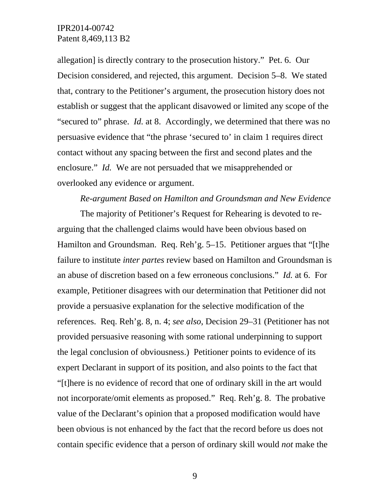allegation] is directly contrary to the prosecution history." Pet. 6. Our Decision considered, and rejected, this argument. Decision 5–8. We stated that, contrary to the Petitioner's argument, the prosecution history does not establish or suggest that the applicant disavowed or limited any scope of the "secured to" phrase. *Id.* at 8. Accordingly, we determined that there was no persuasive evidence that "the phrase 'secured to' in claim 1 requires direct contact without any spacing between the first and second plates and the enclosure." *Id.* We are not persuaded that we misapprehended or overlooked any evidence or argument.

### *Re-argument Based on Hamilton and Groundsman and New Evidence*

The majority of Petitioner's Request for Rehearing is devoted to rearguing that the challenged claims would have been obvious based on Hamilton and Groundsman. Req. Reh'g. 5–15. Petitioner argues that "[t]he failure to institute *inter partes* review based on Hamilton and Groundsman is an abuse of discretion based on a few erroneous conclusions." *Id.* at 6. For example, Petitioner disagrees with our determination that Petitioner did not provide a persuasive explanation for the selective modification of the references. Req. Reh'g. 8, n. 4; *see also*, Decision 29–31 (Petitioner has not provided persuasive reasoning with some rational underpinning to support the legal conclusion of obviousness.) Petitioner points to evidence of its expert Declarant in support of its position, and also points to the fact that "[t]here is no evidence of record that one of ordinary skill in the art would not incorporate/omit elements as proposed." Req. Reh'g. 8. The probative value of the Declarant's opinion that a proposed modification would have been obvious is not enhanced by the fact that the record before us does not contain specific evidence that a person of ordinary skill would *not* make the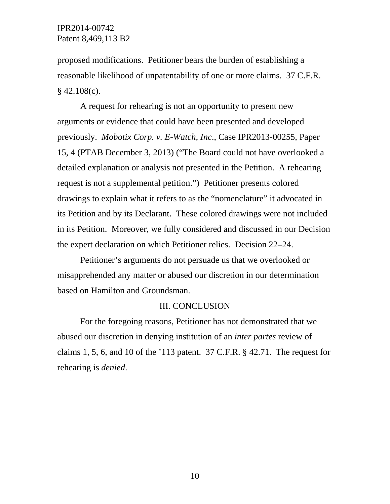proposed modifications. Petitioner bears the burden of establishing a reasonable likelihood of unpatentability of one or more claims. 37 C.F.R.  $§$  42.108(c).

A request for rehearing is not an opportunity to present new arguments or evidence that could have been presented and developed previously. *Mobotix Corp. v. E-Watch, Inc*., Case IPR2013-00255, Paper 15, 4 (PTAB December 3, 2013) ("The Board could not have overlooked a detailed explanation or analysis not presented in the Petition. A rehearing request is not a supplemental petition.") Petitioner presents colored drawings to explain what it refers to as the "nomenclature" it advocated in its Petition and by its Declarant. These colored drawings were not included in its Petition. Moreover, we fully considered and discussed in our Decision the expert declaration on which Petitioner relies. Decision 22–24.

Petitioner's arguments do not persuade us that we overlooked or misapprehended any matter or abused our discretion in our determination based on Hamilton and Groundsman.

#### III. CONCLUSION

For the foregoing reasons, Petitioner has not demonstrated that we abused our discretion in denying institution of an *inter partes* review of claims 1, 5, 6, and 10 of the '113 patent. 37 C.F.R. § 42.71. The request for rehearing is *denied*.